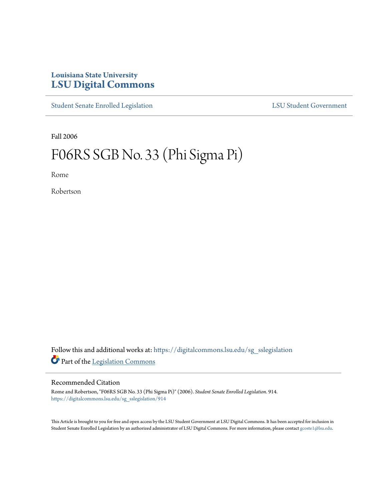## **Louisiana State University [LSU Digital Commons](https://digitalcommons.lsu.edu?utm_source=digitalcommons.lsu.edu%2Fsg_sslegislation%2F914&utm_medium=PDF&utm_campaign=PDFCoverPages)**

[Student Senate Enrolled Legislation](https://digitalcommons.lsu.edu/sg_sslegislation?utm_source=digitalcommons.lsu.edu%2Fsg_sslegislation%2F914&utm_medium=PDF&utm_campaign=PDFCoverPages) [LSU Student Government](https://digitalcommons.lsu.edu/sg?utm_source=digitalcommons.lsu.edu%2Fsg_sslegislation%2F914&utm_medium=PDF&utm_campaign=PDFCoverPages)

Fall 2006

## F06RS SGB No. 33 (Phi Sigma Pi)

Rome

Robertson

Follow this and additional works at: [https://digitalcommons.lsu.edu/sg\\_sslegislation](https://digitalcommons.lsu.edu/sg_sslegislation?utm_source=digitalcommons.lsu.edu%2Fsg_sslegislation%2F914&utm_medium=PDF&utm_campaign=PDFCoverPages) Part of the [Legislation Commons](http://network.bepress.com/hgg/discipline/859?utm_source=digitalcommons.lsu.edu%2Fsg_sslegislation%2F914&utm_medium=PDF&utm_campaign=PDFCoverPages)

## Recommended Citation

Rome and Robertson, "F06RS SGB No. 33 (Phi Sigma Pi)" (2006). *Student Senate Enrolled Legislation*. 914. [https://digitalcommons.lsu.edu/sg\\_sslegislation/914](https://digitalcommons.lsu.edu/sg_sslegislation/914?utm_source=digitalcommons.lsu.edu%2Fsg_sslegislation%2F914&utm_medium=PDF&utm_campaign=PDFCoverPages)

This Article is brought to you for free and open access by the LSU Student Government at LSU Digital Commons. It has been accepted for inclusion in Student Senate Enrolled Legislation by an authorized administrator of LSU Digital Commons. For more information, please contact [gcoste1@lsu.edu.](mailto:gcoste1@lsu.edu)